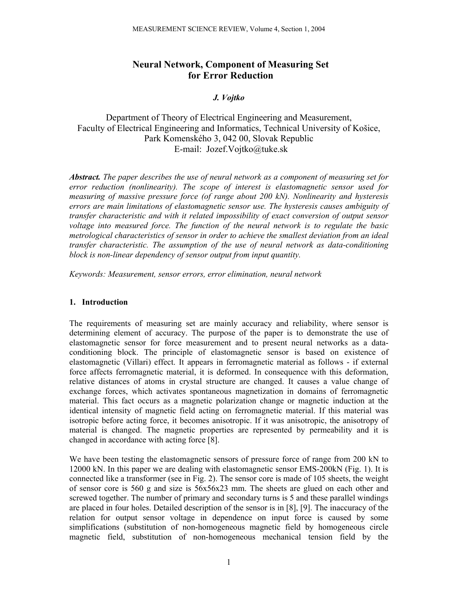# **Neural Network, Component of Measuring Set for Error Reduction**

### *J. Vojtko*

# Department of Theory of Electrical Engineering and Measurement, Faculty of Electrical Engineering and Informatics, Technical University of Košice, Park Komenského 3, 042 00, Slovak Republic E-mail: Jozef.Vojtko@tuke.sk

*Abstract. The paper describes the use of neural network as a component of measuring set for error reduction (nonlinearity). The scope of interest is elastomagnetic sensor used for measuring of massive pressure force (of range about 200 kN). Nonlinearity and hysteresis errors are main limitations of elastomagnetic sensor use. The hysteresis causes ambiguity of transfer characteristic and with it related impossibility of exact conversion of output sensor voltage into measured force. The function of the neural network is to regulate the basic metrological characteristics of sensor in order to achieve the smallest deviation from an ideal transfer characteristic. The assumption of the use of neural network as data-conditioning block is non-linear dependency of sensor output from input quantity.* 

*Keywords: Measurement, sensor errors, error elimination, neural network* 

### **1. Introduction**

The requirements of measuring set are mainly accuracy and reliability, where sensor is determining element of accuracy. The purpose of the paper is to demonstrate the use of elastomagnetic sensor for force measurement and to present neural networks as a dataconditioning block. The principle of elastomagnetic sensor is based on existence of elastomagnetic (Villari) effect. It appears in ferromagnetic material as follows - if external force affects ferromagnetic material, it is deformed. In consequence with this deformation, relative distances of atoms in crystal structure are changed. It causes a value change of exchange forces, which activates spontaneous magnetization in domains of ferromagnetic material. This fact occurs as a magnetic polarization change or magnetic induction at the identical intensity of magnetic field acting on ferromagnetic material. If this material was isotropic before acting force, it becomes anisotropic. If it was anisotropic, the anisotropy of material is changed. The magnetic properties are represented by permeability and it is changed in accordance with acting force [8].

We have been testing the elastomagnetic sensors of pressure force of range from 200 kN to 12000 kN. In this paper we are dealing with elastomagnetic sensor EMS-200kN (Fig. 1). It is connected like a transformer (see in Fig. 2). The sensor core is made of 105 sheets, the weight of sensor core is 560 g and size is 56x56x23 mm. The sheets are glued on each other and screwed together. The number of primary and secondary turns is 5 and these parallel windings are placed in four holes. Detailed description of the sensor is in [8], [9]. The inaccuracy of the relation for output sensor voltage in dependence on input force is caused by some simplifications (substitution of non-homogeneous magnetic field by homogeneous circle magnetic field, substitution of non-homogeneous mechanical tension field by the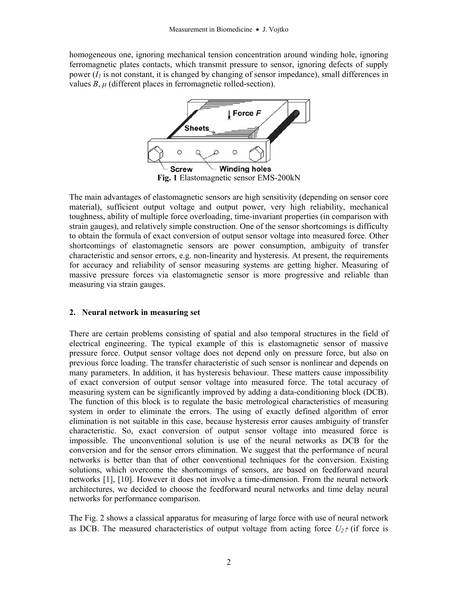homogeneous one, ignoring mechanical tension concentration around winding hole, ignoring ferromagnetic plates contacts, which transmit pressure to sensor, ignoring defects of supply power  $(I_1)$  is not constant, it is changed by changing of sensor impedance), small differences in values  $B$ ,  $\mu$  (different places in ferromagnetic rolled-section).



The main advantages of elastomagnetic sensors are high sensitivity (depending on sensor core material), sufficient output voltage and output power, very high reliability, mechanical toughness, ability of multiple force overloading, time-invariant properties (in comparison with strain gauges), and relatively simple construction. One of the sensor shortcomings is difficulty to obtain the formula of exact conversion of output sensor voltage into measured force. Other shortcomings of elastomagnetic sensors are power consumption, ambiguity of transfer characteristic and sensor errors, e.g. non-linearity and hysteresis. At present, the requirements for accuracy and reliability of sensor measuring systems are getting higher. Measuring of massive pressure forces via elastomagnetic sensor is more progressive and reliable than measuring via strain gauges.

## **2. Neural network in measuring set**

There are certain problems consisting of spatial and also temporal structures in the field of electrical engineering. The typical example of this is elastomagnetic sensor of massive pressure force. Output sensor voltage does not depend only on pressure force, but also on previous force loading. The transfer characteristic of such sensor is nonlinear and depends on many parameters. In addition, it has hysteresis behaviour. These matters cause impossibility of exact conversion of output sensor voltage into measured force. The total accuracy of measuring system can be significantly improved by adding a data-conditioning block (DCB). The function of this block is to regulate the basic metrological characteristics of measuring system in order to eliminate the errors. The using of exactly defined algorithm of error elimination is not suitable in this case, because hysteresis error causes ambiguity of transfer characteristic. So, exact conversion of output sensor voltage into measured force is impossible. The unconventional solution is use of the neural networks as DCB for the conversion and for the sensor errors elimination. We suggest that the performance of neural networks is better than that of other conventional techniques for the conversion. Existing solutions, which overcome the shortcomings of sensors, are based on feedforward neural networks [1], [10]. However it does not involve a time-dimension. From the neural network architectures, we decided to choose the feedforward neural networks and time delay neural networks for performance comparison.

The Fig. 2 shows a classical apparatus for measuring of large force with use of neural network as DCB. The measured characteristics of output voltage from acting force  $U_2 \gamma$  (if force is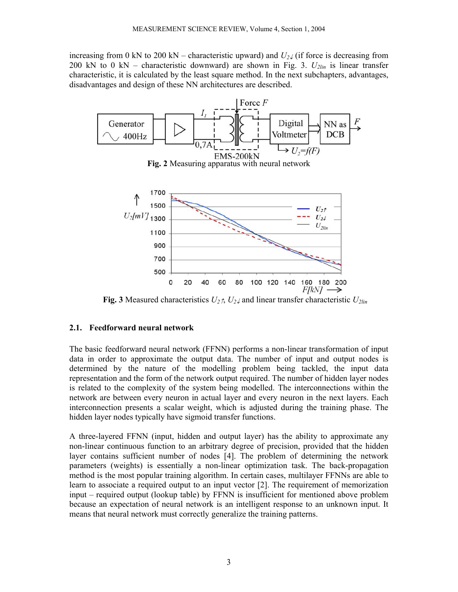increasing from 0 kN to 200 kN – characteristic upward) and  $U_2\chi$  (if force is decreasing from 200 kN to 0 kN – characteristic downward) are shown in Fig. 3.  $U_{2lin}$  is linear transfer characteristic, it is calculated by the least square method. In the next subchapters, advantages, disadvantages and design of these NN architectures are described.



**Fig. 3** Measured characteristics  $U_2 \gamma$ ,  $U_2 \gamma$  and linear transfer characteristic  $U_2$ <sub>lin</sub>

### **2.1. Feedforward neural network**

The basic feedforward neural network (FFNN) performs a non-linear transformation of input data in order to approximate the output data. The number of input and output nodes is determined by the nature of the modelling problem being tackled, the input data representation and the form of the network output required. The number of hidden layer nodes is related to the complexity of the system being modelled. The interconnections within the network are between every neuron in actual layer and every neuron in the next layers. Each interconnection presents a scalar weight, which is adjusted during the training phase. The hidden layer nodes typically have sigmoid transfer functions.

A three-layered FFNN (input, hidden and output layer) has the ability to approximate any non-linear continuous function to an arbitrary degree of precision, provided that the hidden layer contains sufficient number of nodes [4]. The problem of determining the network parameters (weights) is essentially a non-linear optimization task. The back-propagation method is the most popular training algorithm. In certain cases, multilayer FFNNs are able to learn to associate a required output to an input vector [2]. The requirement of memorization input – required output (lookup table) by FFNN is insufficient for mentioned above problem because an expectation of neural network is an intelligent response to an unknown input. It means that neural network must correctly generalize the training patterns.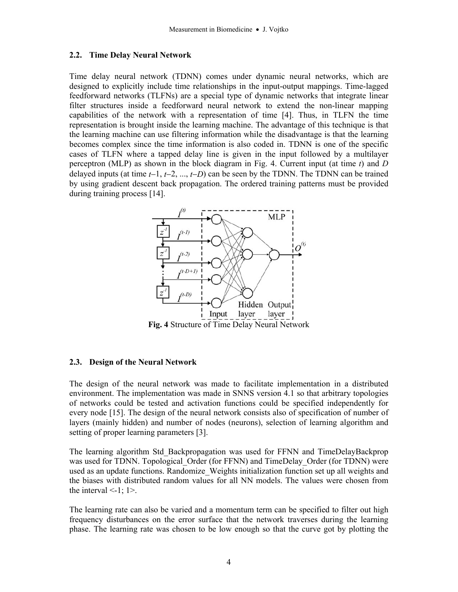### **2.2. Time Delay Neural Network**

Time delay neural network (TDNN) comes under dynamic neural networks, which are designed to explicitly include time relationships in the input-output mappings. Time-lagged feedforward networks (TLFNs) are a special type of dynamic networks that integrate linear filter structures inside a feedforward neural network to extend the non-linear mapping capabilities of the network with a representation of time [4]. Thus, in TLFN the time representation is brought inside the learning machine. The advantage of this technique is that the learning machine can use filtering information while the disadvantage is that the learning becomes complex since the time information is also coded in. TDNN is one of the specific cases of TLFN where a tapped delay line is given in the input followed by a multilayer perceptron (MLP) as shown in the block diagram in Fig. 4. Current input (at time *t*) and *D* delayed inputs (at time *t*−1, *t*−2, ..., *t*−*D*) can be seen by the TDNN. The TDNN can be trained by using gradient descent back propagation. The ordered training patterns must be provided during training process [14].



**Fig. 4** Structure of Time Delay Neural Network

### **2.3. Design of the Neural Network**

The design of the neural network was made to facilitate implementation in a distributed environment. The implementation was made in SNNS version 4.1 so that arbitrary topologies of networks could be tested and activation functions could be specified independently for every node [15]. The design of the neural network consists also of specification of number of layers (mainly hidden) and number of nodes (neurons), selection of learning algorithm and setting of proper learning parameters [3].

The learning algorithm Std\_Backpropagation was used for FFNN and TimeDelayBackprop was used for TDNN. Topological Order (for FFNN) and TimeDelay Order (for TDNN) were used as an update functions. Randomize\_Weights initialization function set up all weights and the biases with distributed random values for all NN models. The values were chosen from the interval  $\le$ -1; 1 $>$ .

The learning rate can also be varied and a momentum term can be specified to filter out high frequency disturbances on the error surface that the network traverses during the learning phase. The learning rate was chosen to be low enough so that the curve got by plotting the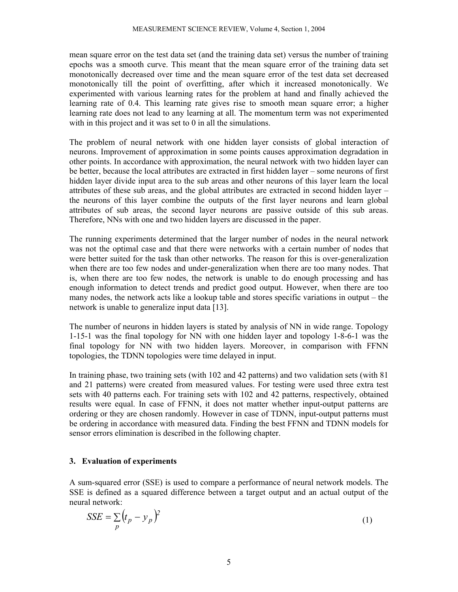mean square error on the test data set (and the training data set) versus the number of training epochs was a smooth curve. This meant that the mean square error of the training data set monotonically decreased over time and the mean square error of the test data set decreased monotonically till the point of overfitting, after which it increased monotonically. We experimented with various learning rates for the problem at hand and finally achieved the learning rate of 0.4. This learning rate gives rise to smooth mean square error; a higher learning rate does not lead to any learning at all. The momentum term was not experimented with in this project and it was set to 0 in all the simulations.

The problem of neural network with one hidden layer consists of global interaction of neurons. Improvement of approximation in some points causes approximation degradation in other points. In accordance with approximation, the neural network with two hidden layer can be better, because the local attributes are extracted in first hidden layer – some neurons of first hidden layer divide input area to the sub areas and other neurons of this layer learn the local attributes of these sub areas, and the global attributes are extracted in second hidden layer – the neurons of this layer combine the outputs of the first layer neurons and learn global attributes of sub areas, the second layer neurons are passive outside of this sub areas. Therefore, NNs with one and two hidden layers are discussed in the paper.

The running experiments determined that the larger number of nodes in the neural network was not the optimal case and that there were networks with a certain number of nodes that were better suited for the task than other networks. The reason for this is over-generalization when there are too few nodes and under-generalization when there are too many nodes. That is, when there are too few nodes, the network is unable to do enough processing and has enough information to detect trends and predict good output. However, when there are too many nodes, the network acts like a lookup table and stores specific variations in output – the network is unable to generalize input data [13].

The number of neurons in hidden layers is stated by analysis of NN in wide range. Topology 1-15-1 was the final topology for NN with one hidden layer and topology 1-8-6-1 was the final topology for NN with two hidden layers. Moreover, in comparison with FFNN topologies, the TDNN topologies were time delayed in input.

In training phase, two training sets (with 102 and 42 patterns) and two validation sets (with 81 and 21 patterns) were created from measured values. For testing were used three extra test sets with 40 patterns each. For training sets with 102 and 42 patterns, respectively, obtained results were equal. In case of FFNN, it does not matter whether input-output patterns are ordering or they are chosen randomly. However in case of TDNN, input-output patterns must be ordering in accordance with measured data. Finding the best FFNN and TDNN models for sensor errors elimination is described in the following chapter.

## **3. Evaluation of experiments**

A sum-squared error (SSE) is used to compare a performance of neural network models. The SSE is defined as a squared difference between a target output and an actual output of the neural network:

$$
SSE = \sum_{p} (t_p - y_p)^2
$$
 (1)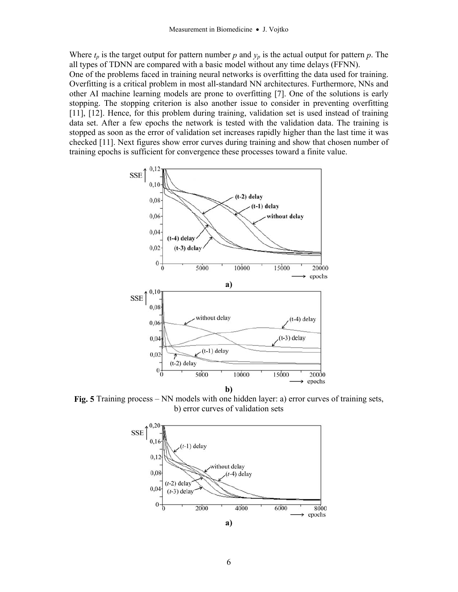Where  $t_p$  is the target output for pattern number  $p$  and  $y_p$  is the actual output for pattern  $p$ . The all types of TDNN are compared with a basic model without any time delays (FFNN).

One of the problems faced in training neural networks is overfitting the data used for training. Overfitting is a critical problem in most all-standard NN architectures. Furthermore, NNs and other AI machine learning models are prone to overfitting [7]. One of the solutions is early stopping. The stopping criterion is also another issue to consider in preventing overfitting [11], [12]. Hence, for this problem during training, validation set is used instead of training data set. After a few epochs the network is tested with the validation data. The training is stopped as soon as the error of validation set increases rapidly higher than the last time it was checked [11]. Next figures show error curves during training and show that chosen number of training epochs is sufficient for convergence these processes toward a finite value.



**Fig. 5** Training process – NN models with one hidden layer: a) error curves of training sets, b) error curves of validation sets

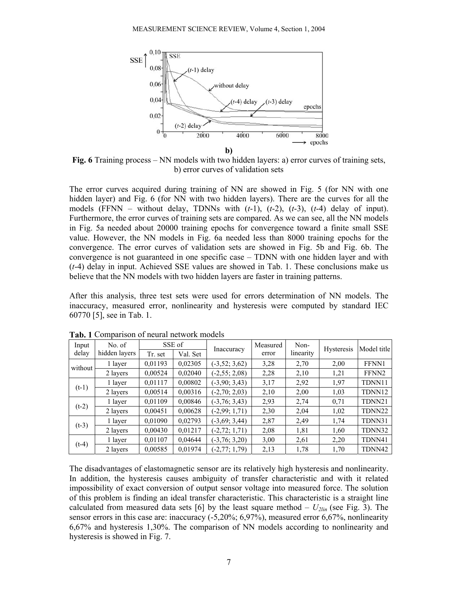

**Fig. 6** Training process – NN models with two hidden layers: a) error curves of training sets, b) error curves of validation sets

The error curves acquired during training of NN are showed in Fig. 5 (for NN with one hidden layer) and Fig. 6 (for NN with two hidden layers). There are the curves for all the models (FFNN – without delay, TDNNs with (*t*-1), (*t*-2), (*t*-3), (*t*-4) delay of input). Furthermore, the error curves of training sets are compared. As we can see, all the NN models in Fig. 5a needed about 20000 training epochs for convergence toward a finite small SSE value. However, the NN models in Fig. 6a needed less than 8000 training epochs for the convergence. The error curves of validation sets are showed in Fig. 5b and Fig. 6b. The convergence is not guaranteed in one specific case – TDNN with one hidden layer and with (*t*-4) delay in input. Achieved SSE values are showed in Tab. 1. These conclusions make us believe that the NN models with two hidden layers are faster in training patterns.

After this analysis, three test sets were used for errors determination of NN models. The inaccuracy, measured error, nonlinearity and hysteresis were computed by standard IEC 60770 [5], see in Tab. 1.

| Input<br>delay | No. of<br>hidden layers | SSE of  |          | Inaccuracy        | Measured | Non-      | <b>Hysteresis</b> | Model title       |
|----------------|-------------------------|---------|----------|-------------------|----------|-----------|-------------------|-------------------|
|                |                         | Tr. set | Val. Set |                   | error    | linearity |                   |                   |
| without        | 1 layer                 | 0,01193 | 0,02305  | $(-3, 52; 3, 62)$ | 3,28     | 2,70      | 2,00              | FFNN1             |
|                | 2 layers                | 0,00524 | 0,02040  | $(-2, 55; 2, 08)$ | 2,28     | 2,10      | 1,21              | FFNN <sub>2</sub> |
| $(t-1)$        | 1 layer                 | 0,01117 | 0,00802  | $(-3,90; 3,43)$   | 3,17     | 2,92      | 1,97              | TDNN11            |
|                | 2 layers                | 0,00514 | 0,00316  | $(-2, 70; 2, 03)$ | 2,10     | 2,00      | 1,03              | TDNN12            |
| $(t-2)$        | 1 layer                 | 0,01109 | 0,00846  | $(-3, 76; 3, 43)$ | 2,93     | 2,74      | 0.71              | TDNN21            |
|                | 2 layers                | 0,00451 | 0,00628  | $(-2,99; 1,71)$   | 2,30     | 2,04      | 1,02              | TDNN22            |
| $(t-3)$        | 1 layer                 | 0,01090 | 0,02793  | $(-3,69; 3,44)$   | 2,87     | 2,49      | 1,74              | TDNN31            |
|                | 2 layers                | 0,00430 | 0,01217  | $(-2, 72; 1, 71)$ | 2,08     | 1,81      | 1,60              | TDNN32            |
| $(t-4)$        | 1 layer                 | 0,01107 | 0,04644  | $(-3, 76; 3, 20)$ | 3,00     | 2,61      | 2,20              | TDNN41            |
|                | 2 layers                | 0,00585 | 0,01974  | $(-2, 77; 1, 79)$ | 2,13     | 1,78      | 1,70              | TDNN42            |

**Tab. 1** Comparison of neural network models

The disadvantages of elastomagnetic sensor are its relatively high hysteresis and nonlinearity. In addition, the hysteresis causes ambiguity of transfer characteristic and with it related impossibility of exact conversion of output sensor voltage into measured force. The solution of this problem is finding an ideal transfer characteristic. This characteristic is a straight line calculated from measured data sets [6] by the least square method  $- U_{2lin}$  (see Fig. 3). The sensor errors in this case are: inaccuracy (-5,20%; 6,97%), measured error 6,67%, nonlinearity 6,67% and hysteresis 1,30%. The comparison of NN models according to nonlinearity and hysteresis is showed in Fig. 7.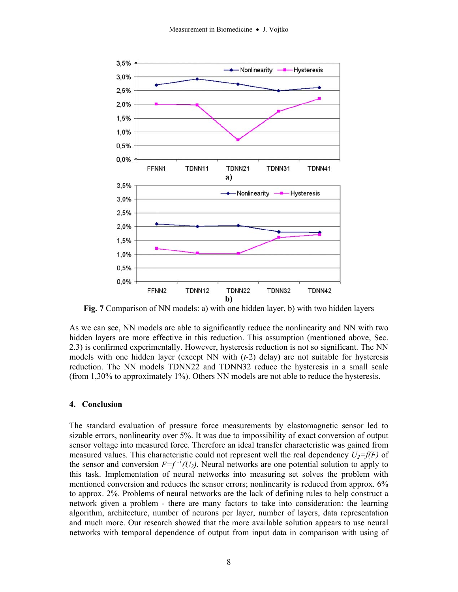

**Fig. 7** Comparison of NN models: a) with one hidden layer, b) with two hidden layers

As we can see, NN models are able to significantly reduce the nonlinearity and NN with two hidden layers are more effective in this reduction. This assumption (mentioned above, Sec. 2.3) is confirmed experimentally. However, hysteresis reduction is not so significant. The NN models with one hidden layer (except NN with (*t*-2) delay) are not suitable for hysteresis reduction. The NN models TDNN22 and TDNN32 reduce the hysteresis in a small scale (from 1,30% to approximately 1%). Others NN models are not able to reduce the hysteresis.

### **4. Conclusion**

The standard evaluation of pressure force measurements by elastomagnetic sensor led to sizable errors, nonlinearity over 5%. It was due to impossibility of exact conversion of output sensor voltage into measured force. Therefore an ideal transfer characteristic was gained from measured values. This characteristic could not represent well the real dependency  $U_2=f(F)$  of the sensor and conversion  $F=f^{-1}(U_2)$ . Neural networks are one potential solution to apply to this task. Implementation of neural networks into measuring set solves the problem with mentioned conversion and reduces the sensor errors; nonlinearity is reduced from approx. 6% to approx. 2%. Problems of neural networks are the lack of defining rules to help construct a network given a problem - there are many factors to take into consideration: the learning algorithm, architecture, number of neurons per layer, number of layers, data representation and much more. Our research showed that the more available solution appears to use neural networks with temporal dependence of output from input data in comparison with using of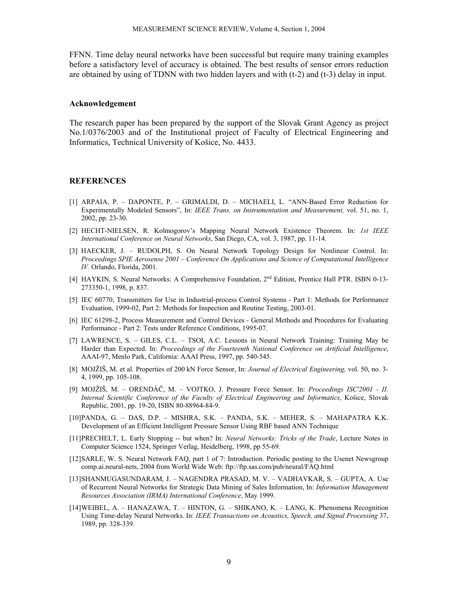FFNN. Time delay neural networks have been successful but require many training examples before a satisfactory level of accuracy is obtained. The best results of sensor errors reduction are obtained by using of TDNN with two hidden layers and with (t-2) and (t-3) delay in input.

#### **Acknowledgement**

The research paper has been prepared by the support of the Slovak Grant Agency as project No.1/0376/2003 and of the Institutional project of Faculty of Electrical Engineering and Informatics, Technical University of Košice, No. 4433.

#### **REFERENCES**

- [1] ARPAIA, P. DAPONTE, P. GRIMALDI, D. MICHAELI, L. "ANN-Based Error Reduction for Experimentally Modeled Sensors", In: *IEEE Trans. on Instrumentation and Measurement,* vol. 51, no. 1, 2002, pp. 23-30.
- [2] HECHT-NIELSEN, R. Kolmogorov's Mapping Neural Network Existence Theorem. In: *1st IEEE International Conference on Neural Networks*, San Diego, CA, vol. 3, 1987, pp. 11-14.
- [3] HAECKER, J. RUDOLPH, S. On Neural Network Topology Design for Nonlinear Control. In: *Proceedings SPIE Aerosense 2001 – Conference On Applications and Science of Computational Intelligence IV.* Orlando, Florida, 2001.
- [4] HAYKIN, S. Neural Networks: A Comprehensive Foundation, 2nd Edition, Prentice Hall PTR. ISBN 0-13- 273350-1, 1998, p. 837.
- [5] IEC 60770, Transmitters for Use in Industrial-process Control Systems Part 1: Methods for Performance Evaluation, 1999-02, Part 2: Methods for Inspection and Routine Testing, 2003-01.
- [6] IEC 61298-2, Process Measurement and Control Devices General Methods and Procedures for Evaluating Performance - Part 2: Tests under Reference Conditions, 1995-07.
- [7] LAWRENCE, S. GILES, C.L. TSOI, A.C. Lessons in Neural Network Training: Training May be Harder than Expected. In: *Proceedings of the Fourteenth National Conference on Artificial Intelligence*, AAAI-97, Menlo Park, California: AAAI Press, 1997, pp. 540-545.
- [8] MOJŽIŠ, M. et al. Properties of 200 kN Force Sensor, In: *Journal of Electrical Engineering,* vol. 50, no. 3- 4, 1999, pp. 105-108.
- [9] MOJŽIŠ, M. ORENDÁČ, M. VOJTKO, J. Pressure Force Sensor. In: *Proceedings ISC'2001 II. Internal Scientific Conference of the Faculty of Electrical Engineering and Informatics*, Košice, Slovak Republic, 2001, pp. 19-20, ISBN 80-88964-84-9.
- [10] PANDA, G. DAS, D.P. MISHRA, S.K. PANDA, S.K. MEHER, S. MAHAPATRA K.K. Development of an Efficient Intelligent Pressure Sensor Using RBF based ANN Technique
- [11] PRECHELT, L. Early Stopping -- but when? In: *Neural Networks: Tricks of the Trade*, Lecture Notes in Computer Science 1524, Springer Verlag, Heidelberg, 1998, pp 55-69.
- [12] SARLE, W. S. Neural Network FAQ, part 1 of 7: Introduction. Periodic posting to the Usenet Newsgroup comp.ai.neural-nets, 2004 from World Wide Web: ftp://ftp.sas.com/pub/neural/FAQ.html
- [13] SHANMUGASUNDARAM, J. NAGENDRA PRASAD, M. V. VADHAVKAR, S. GUPTA, A. Use of Recurrent Neural Networks for Strategic Data Mining of Sales Information, In: *Information Management Resources Association (IRMA) International Conference*, May 1999.
- [14] WEIBEL, A. HANAZAWA, T. HINTON, G. SHIKANO, K. LANG, K. Phenomena Recognition Using Time-delay Neural Networks. In: *IEEE Transactions on Acoustics, Speech, and Signal Processing* 37, 1989, pp. 328-339.